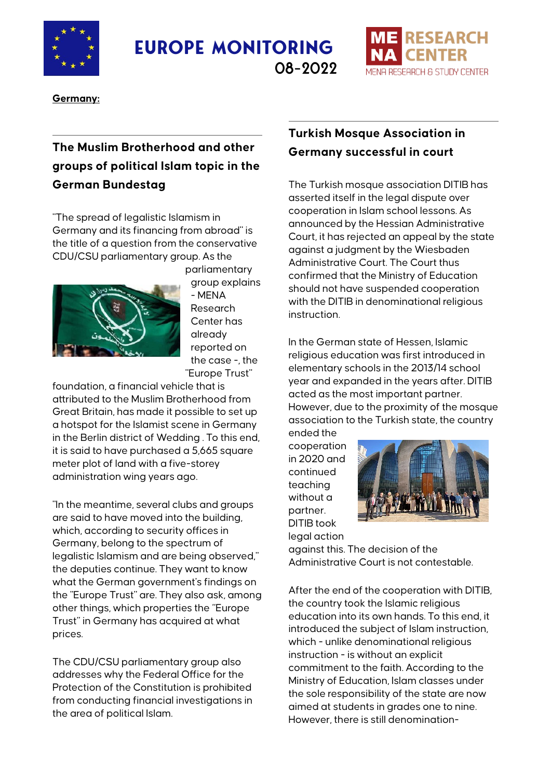

**Europe Monitoring**



**Germany:**

# **The Muslim Brotherhood and other groups of political Islam topic in the German Bundestag**

"The spread of legalistic Islamism in Germany and its financing from abroad" is the title of a question from the conservative CDU/CSU parliamentary group. As the parliamentary



group explains - MENA Research Center has already reported on the case -, the "Europe Trust"

foundation, a financial vehicle that is attributed to the Muslim Brotherhood from Great Britain, has made it possible to set up a hotspot for the Islamist scene in Germany in the Berlin district of Wedding . To this end, it is said to have purchased a 5,665 square meter plot of land with a five-storey administration wing years ago.

"In the meantime, several clubs and groups are said to have moved into the building, which, according to security offices in Germany, belong to the spectrum of legalistic Islamism and are being observed," the deputies continue. They want to know what the German government's findings on the "Europe Trust" are. They also ask, among other things, which properties the "Europe Trust" in Germany has acquired at what prices.

The CDU/CSU parliamentary group also addresses why the Federal Office for the Protection of the Constitution is prohibited from conducting financial investigations in the area of political Islam.

## **Turkish Mosque Association in Germany successful in court**

**ESEARCH** 

DESEQUALL & STUDY CENTED

The Turkish mosque association DITIB has asserted itself in the legal dispute over cooperation in Islam school lessons. As announced by the Hessian Administrative Court, it has rejected an appeal by the state against a judgment by the Wiesbaden Administrative Court. The Court thus confirmed that the Ministry of Education should not have suspended cooperation with the DITIB in denominational religious instruction.

In the German state of Hessen, Islamic religious education was first introduced in elementary schools in the 2013/14 school year and expanded in the years after. DITIB acted as the most important partner. However, due to the proximity of the mosque association to the Turkish state, the country

ended the cooperation in 2020 and continued teaching without a partner. DITIB took legal action



against this. The decision of the Administrative Court is not contestable.

After the end of the cooperation with DITIB, the country took the Islamic religious education into its own hands. To this end, it introduced the subject of Islam instruction, which - unlike denominational religious instruction - is without an explicit commitment to the faith. According to the Ministry of Education, Islam classes under the sole responsibility of the state are now aimed at students in grades one to nine. However, there is still denomination-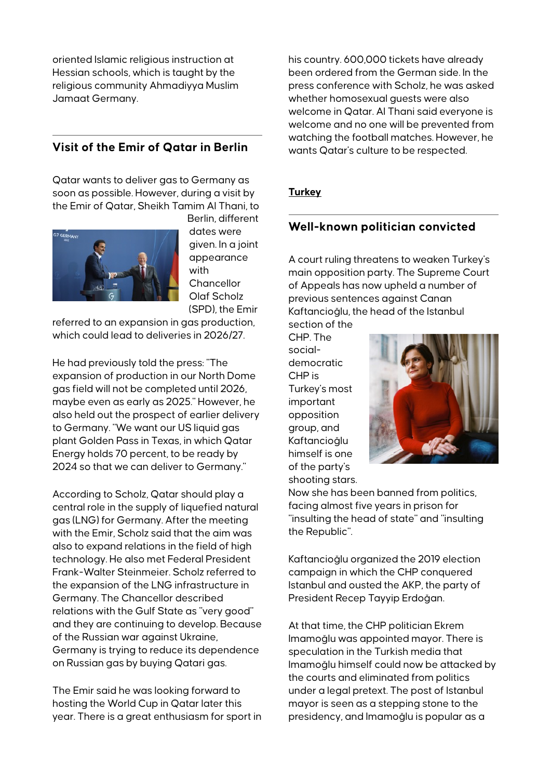oriented Islamic religious instruction at Hessian schools, which is taught by the religious community Ahmadiyya Muslim Jamaat Germany.

### **Visit of the Emir of Qatar in Berlin**

Qatar wants to deliver gas to Germany as soon as possible. However, during a visit by the Emir of Qatar, Sheikh Tamim Al Thani, to



Berlin, different dates were given. In a joint appearance with **Chancellor** Olaf Scholz (SPD), the Emir

referred to an expansion in gas production, which could lead to deliveries in 2026/27.

He had previously told the press: "The expansion of production in our North Dome gas field will not be completed until 2026, maybe even as early as 2025." However, he also held out the prospect of earlier delivery to Germany. "We want our US liquid gas plant Golden Pass in Texas, in which Qatar Energy holds 70 percent, to be ready by 2024 so that we can deliver to Germany."

According to Scholz, Qatar should play a central role in the supply of liquefied natural gas (LNG) for Germany. After the meeting with the Emir, Scholz said that the aim was also to expand relations in the field of high technology. He also met Federal President Frank-Walter Steinmeier. Scholz referred to the expansion of the LNG infrastructure in Germany. The Chancellor described relations with the Gulf State as "very good" and they are continuing to develop. Because of the Russian war against Ukraine, Germany is trying to reduce its dependence on Russian gas by buying Qatari gas.

The Emir said he was looking forward to hosting the World Cup in Qatar later this year. There is a great enthusiasm for sport in his country. 600,000 tickets have already been ordered from the German side. In the press conference with Scholz, he was asked whether homosexual quests were also welcome in Qatar. Al Thani said everyone is welcome and no one will be prevented from watching the football matches. However, he wants Qatar's culture to be respected.

#### **Turkey**

### **Well-known politician convicted**

A court ruling threatens to weaken Turkey's main opposition party. The Supreme Court of Appeals has now upheld a number of previous sentences against Canan Kaftancioğlu, the head of the Istanbul section of the

CHP. The socialdemocratic CHP is Turkey's most important opposition group, and Kaftancioğlu himself is one of the party's shooting stars.



Now she has been banned from politics, facing almost five years in prison for "insulting the head of state" and "insulting the Republic".

Kaftancioğlu organized the 2019 election campaign in which the CHP conquered Istanbul and ousted the AKP, the party of President Recep Tayyip Erdoğan.

At that time, the CHP politician Ekrem Imamoğlu was appointed mayor. There is speculation in the Turkish media that Imamoğlu himself could now be attacked by the courts and eliminated from politics under a legal pretext. The post of Istanbul mayor is seen as a stepping stone to the presidency, and Imamoğlu is popular as a